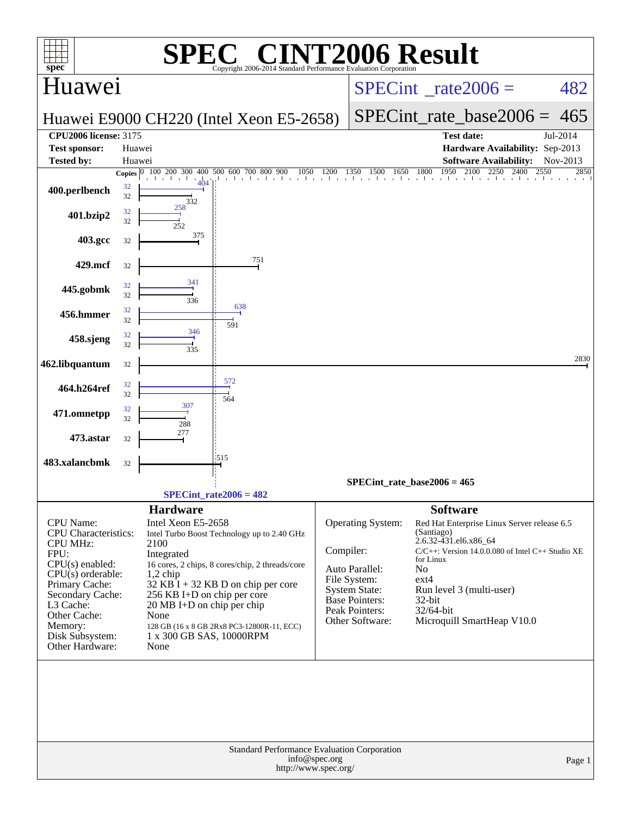| C <sup>®</sup> CINT2006 Result<br>SPI<br>$spec^*$<br>Copyright 2006-2014 Standard Performance Evaluation Corporation |          |                                                                                                                                              |           |                                               |                                                                                                       |                          |  |  |  |  |
|----------------------------------------------------------------------------------------------------------------------|----------|----------------------------------------------------------------------------------------------------------------------------------------------|-----------|-----------------------------------------------|-------------------------------------------------------------------------------------------------------|--------------------------|--|--|--|--|
| Huawei                                                                                                               |          |                                                                                                                                              |           |                                               | $SPECint^{\circ}$ rate $2006 =$                                                                       | 482                      |  |  |  |  |
|                                                                                                                      |          | Huawei E9000 CH220 (Intel Xeon E5-2658)                                                                                                      |           |                                               | $SPECint_rate_base2006 =$                                                                             | 465                      |  |  |  |  |
| <b>CPU2006 license: 3175</b>                                                                                         |          |                                                                                                                                              |           |                                               | <b>Test date:</b>                                                                                     | Jul-2014                 |  |  |  |  |
| <b>Test sponsor:</b>                                                                                                 | Huawei   |                                                                                                                                              |           |                                               | Hardware Availability: Sep-2013                                                                       |                          |  |  |  |  |
| <b>Tested by:</b>                                                                                                    | Huawei   |                                                                                                                                              |           |                                               | <b>Software Availability:</b><br>1950                                                                 | Nov-2013<br>2550<br>2850 |  |  |  |  |
| 400.perlbench                                                                                                        | 32<br>32 | Copies $\begin{array}{ l l l l l } \hline \textbf{O} & 100 & 200 & 300 & 400 & 500 & 600 & 700 & 800 & 900 \hline \end{array}$<br>404<br>332 |           |                                               | $\frac{0.900}{1}$ 1050 1200 1350 1500 1650 1800 1950 2100 2250 2400                                   |                          |  |  |  |  |
| 401.bzip2                                                                                                            | 32<br>32 | 258                                                                                                                                          |           |                                               |                                                                                                       |                          |  |  |  |  |
| 403.gcc                                                                                                              | 32       | 375                                                                                                                                          |           |                                               |                                                                                                       |                          |  |  |  |  |
| 429.mcf                                                                                                              | 32       | 751                                                                                                                                          |           |                                               |                                                                                                       |                          |  |  |  |  |
| 445.gobmk                                                                                                            | 32<br>32 | 341<br>336<br>638                                                                                                                            |           |                                               |                                                                                                       |                          |  |  |  |  |
| 456.hmmer                                                                                                            | 32<br>32 | 591                                                                                                                                          |           |                                               |                                                                                                       |                          |  |  |  |  |
| 458.sjeng                                                                                                            | 32<br>32 | 346<br>335                                                                                                                                   |           |                                               |                                                                                                       |                          |  |  |  |  |
| 462.libquantum                                                                                                       | 32       |                                                                                                                                              |           |                                               |                                                                                                       | 2830                     |  |  |  |  |
| 464.h264ref                                                                                                          | 32<br>32 | 572<br>564                                                                                                                                   |           |                                               |                                                                                                       |                          |  |  |  |  |
| 471.omnetpp                                                                                                          | 32<br>32 | 307<br>288                                                                                                                                   |           |                                               |                                                                                                       |                          |  |  |  |  |
| 473.astar                                                                                                            | 32       | 277                                                                                                                                          |           |                                               |                                                                                                       |                          |  |  |  |  |
| 483.xalancbmk                                                                                                        | 32       | 1515                                                                                                                                         |           |                                               |                                                                                                       |                          |  |  |  |  |
|                                                                                                                      |          | $SPECint_rate2006 = 482$                                                                                                                     |           |                                               | $SPECint_rate_base2006 = 465$                                                                         |                          |  |  |  |  |
|                                                                                                                      |          |                                                                                                                                              |           |                                               |                                                                                                       |                          |  |  |  |  |
| CPU Name:<br><b>CPU</b> Characteristics:                                                                             |          | <b>Hardware</b><br>Intel Xeon E5-2658<br>Intel Turbo Boost Technology up to 2.40 GHz                                                         |           | Operating System:                             | <b>Software</b><br>Red Hat Enterprise Linux Server release 6.5<br>(Santiago)<br>2.6.32-431.el6.x86_64 |                          |  |  |  |  |
| <b>CPU MHz:</b><br>FPU:                                                                                              |          | 2100<br>Integrated                                                                                                                           | Compiler: |                                               | C/C++: Version 14.0.0.080 of Intel C++ Studio XE                                                      |                          |  |  |  |  |
| $CPU(s)$ enabled:                                                                                                    |          | 16 cores, 2 chips, 8 cores/chip, 2 threads/core                                                                                              |           | Auto Parallel:                                | for Linux<br>No                                                                                       |                          |  |  |  |  |
| $CPU(s)$ orderable:<br>Primary Cache:                                                                                |          | $1,2$ chip<br>$32$ KB I + 32 KB D on chip per core                                                                                           |           | File System:                                  | $ext{4}$                                                                                              |                          |  |  |  |  |
| Secondary Cache:                                                                                                     |          | 256 KB I+D on chip per core                                                                                                                  |           | <b>System State:</b><br><b>Base Pointers:</b> | Run level 3 (multi-user)<br>32-bit                                                                    |                          |  |  |  |  |
| L3 Cache:<br>Other Cache:                                                                                            |          | $20 \text{ MB I+D}$ on chip per chip<br>None                                                                                                 |           | Peak Pointers:                                | 32/64-bit                                                                                             |                          |  |  |  |  |
| Memory:                                                                                                              |          | 128 GB (16 x 8 GB 2Rx8 PC3-12800R-11, ECC)                                                                                                   |           | Other Software:                               | Microquill SmartHeap V10.0                                                                            |                          |  |  |  |  |
| Disk Subsystem:<br>Other Hardware:                                                                                   |          | 1 x 300 GB SAS, 10000RPM<br>None                                                                                                             |           |                                               |                                                                                                       |                          |  |  |  |  |
|                                                                                                                      |          |                                                                                                                                              |           |                                               |                                                                                                       |                          |  |  |  |  |
|                                                                                                                      |          |                                                                                                                                              |           |                                               |                                                                                                       |                          |  |  |  |  |
|                                                                                                                      |          | Standard Performance Evaluation Corporation<br>info@spec.org                                                                                 |           |                                               |                                                                                                       | Page 1                   |  |  |  |  |
|                                                                                                                      |          | http://www.spec.org/                                                                                                                         |           |                                               |                                                                                                       |                          |  |  |  |  |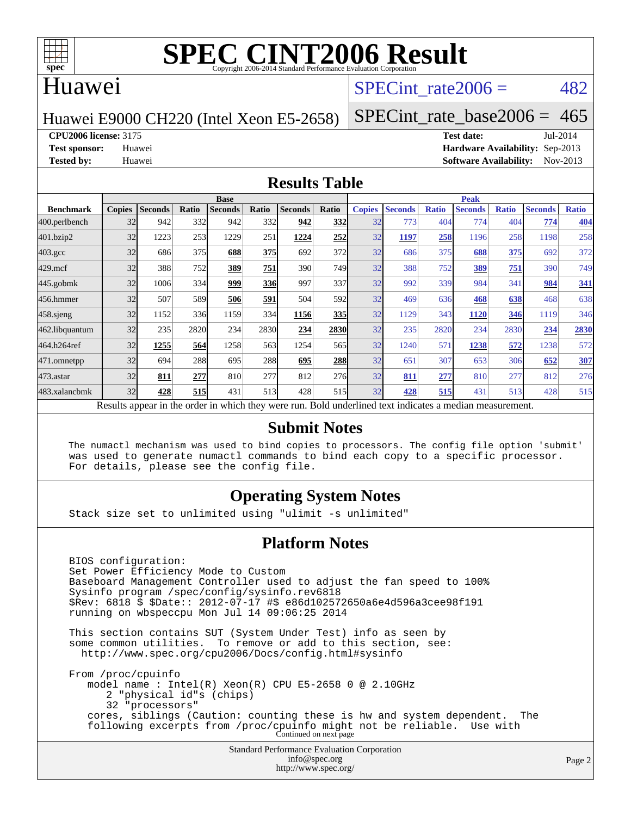

## Huawei

## SPECint rate $2006 = 482$

Huawei E9000 CH220 (Intel Xeon E5-2658)

[SPECint\\_rate\\_base2006 =](http://www.spec.org/auto/cpu2006/Docs/result-fields.html#SPECintratebase2006)  $465$ 

**[CPU2006 license:](http://www.spec.org/auto/cpu2006/Docs/result-fields.html#CPU2006license)** 3175 **[Test date:](http://www.spec.org/auto/cpu2006/Docs/result-fields.html#Testdate)** Jul-2014

**[Test sponsor:](http://www.spec.org/auto/cpu2006/Docs/result-fields.html#Testsponsor)** Huawei **[Hardware Availability:](http://www.spec.org/auto/cpu2006/Docs/result-fields.html#HardwareAvailability)** Sep-2013 **[Tested by:](http://www.spec.org/auto/cpu2006/Docs/result-fields.html#Testedby)** Huawei **[Software Availability:](http://www.spec.org/auto/cpu2006/Docs/result-fields.html#SoftwareAvailability)** Nov-2013

#### **[Results Table](http://www.spec.org/auto/cpu2006/Docs/result-fields.html#ResultsTable)**

|                                                                                                          | <b>Base</b>   |                |       |                |       |                |       | <b>Peak</b>   |                |              |                |              |                |              |
|----------------------------------------------------------------------------------------------------------|---------------|----------------|-------|----------------|-------|----------------|-------|---------------|----------------|--------------|----------------|--------------|----------------|--------------|
| <b>Benchmark</b>                                                                                         | <b>Copies</b> | <b>Seconds</b> | Ratio | <b>Seconds</b> | Ratio | <b>Seconds</b> | Ratio | <b>Copies</b> | <b>Seconds</b> | <b>Ratio</b> | <b>Seconds</b> | <b>Ratio</b> | <b>Seconds</b> | <b>Ratio</b> |
| 400.perlbench                                                                                            | 32            | 942            | 332   | 942            | 332l  | 942            | 332   | 32            | 773            | 404          | 774            | 404          | 774            | 404          |
| 401.bzip2                                                                                                | 32            | 1223           | 253   | 1229           | 251   | 1224           | 252   | 32            | 1197           | 258          | 1196           | 258          | 1198           | 258          |
| $403.\mathrm{gcc}$                                                                                       | 32            | 686            | 375   | 688            | 375   | 692            | 372   | 32            | 686            | 375          | 688            | 375          | 692            | 372          |
| $429$ .mcf                                                                                               | 32            | 388            | 752   | 389            | 751   | 390            | 749   | 32            | 388            | 752          | 389            | 751          | 390            | 749          |
| $445$ .gobmk                                                                                             | 32            | 1006           | 334   | 999            | 336   | 997            | 337   | 32            | 992            | 339          | 984            | 341          | 984            | 341          |
| 456.hmmer                                                                                                | 32            | 507            | 589   | 506            | 591   | 504            | 592   | 32            | 469            | 636          | 468            | 638          | 468            | 638          |
| $458$ .sjeng                                                                                             | 32            | 1152           | 336   | 1159           | 334   | 1156           | 335   | 32            | 1129           | 343          | 1120           | 346          | 1119           | 346          |
| 462.libquantum                                                                                           | 32            | 235            | 2820  | 234            | 2830  | 234            | 2830  | 32            | 235            | 2820         | 234            | 2830         | 234            | 2830         |
| 464.h264ref                                                                                              | 32            | 1255           | 564   | 1258           | 563   | 1254           | 565   | 32            | 1240           | 571          | 1238           | 572          | 1238           | 572          |
| 471.omnetpp                                                                                              | 32            | 694            | 288   | 695            | 288   | 695            | 288   | 32            | 651            | 307          | 653            | 306          | 652            | 307          |
| 473.astar                                                                                                | 32            | 811            | 277   | 810            | 277   | 812            | 276   | 32            | 811            | 277          | 810            | 277          | 812            | 276          |
| 483.xalancbmk                                                                                            | 32            | 428            | 515   | 431            | 513   | 428            | 515   | 32            | 428            | 515          | 431            | 513          | 428            | 515          |
| Results appear in the order in which they were run. Bold underlined text indicates a median measurement. |               |                |       |                |       |                |       |               |                |              |                |              |                |              |

#### **[Submit Notes](http://www.spec.org/auto/cpu2006/Docs/result-fields.html#SubmitNotes)**

 The numactl mechanism was used to bind copies to processors. The config file option 'submit' was used to generate numactl commands to bind each copy to a specific processor. For details, please see the config file.

#### **[Operating System Notes](http://www.spec.org/auto/cpu2006/Docs/result-fields.html#OperatingSystemNotes)**

Stack size set to unlimited using "ulimit -s unlimited"

#### **[Platform Notes](http://www.spec.org/auto/cpu2006/Docs/result-fields.html#PlatformNotes)**

 BIOS configuration: Set Power Efficiency Mode to Custom Baseboard Management Controller used to adjust the fan speed to 100% Sysinfo program /spec/config/sysinfo.rev6818 \$Rev: 6818 \$ \$Date:: 2012-07-17 #\$ e86d102572650a6e4d596a3cee98f191 running on wbspeccpu Mon Jul 14 09:06:25 2014 This section contains SUT (System Under Test) info as seen by some common utilities. To remove or add to this section, see: <http://www.spec.org/cpu2006/Docs/config.html#sysinfo> From /proc/cpuinfo model name : Intel(R) Xeon(R) CPU E5-2658 0 @ 2.10GHz 2 "physical id"s (chips) 32 "processors" cores, siblings (Caution: counting these is hw and system dependent. The following excerpts from /proc/cpuinfo might not be reliable. Use with Continued on next page

> Standard Performance Evaluation Corporation [info@spec.org](mailto:info@spec.org) <http://www.spec.org/>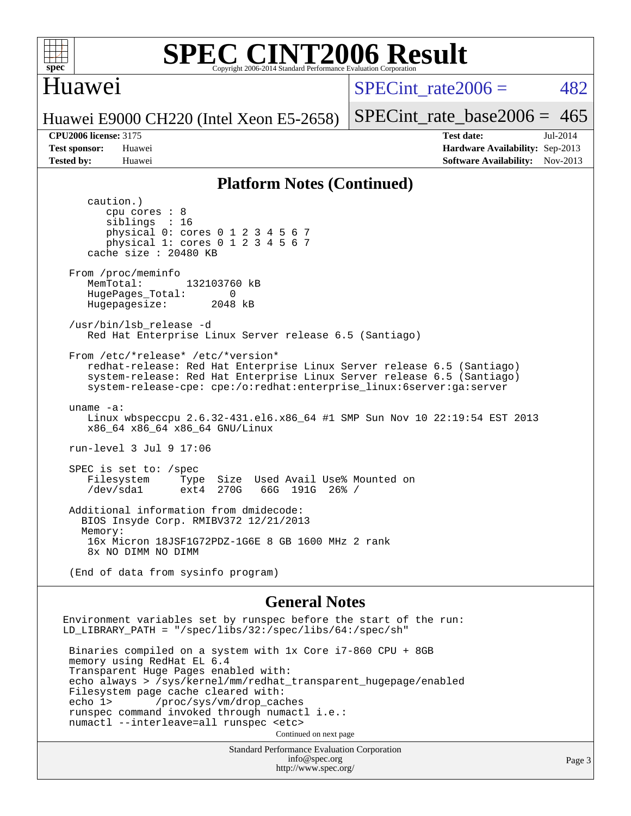

## Huawei

SPECint rate $2006 = 482$ 

[SPECint\\_rate\\_base2006 =](http://www.spec.org/auto/cpu2006/Docs/result-fields.html#SPECintratebase2006)  $465$ 

Huawei E9000 CH220 (Intel Xeon E5-2658)

**[CPU2006 license:](http://www.spec.org/auto/cpu2006/Docs/result-fields.html#CPU2006license)** 3175 **[Test date:](http://www.spec.org/auto/cpu2006/Docs/result-fields.html#Testdate)** Jul-2014 **[Test sponsor:](http://www.spec.org/auto/cpu2006/Docs/result-fields.html#Testsponsor)** Huawei **[Hardware Availability:](http://www.spec.org/auto/cpu2006/Docs/result-fields.html#HardwareAvailability)** Sep-2013 **[Tested by:](http://www.spec.org/auto/cpu2006/Docs/result-fields.html#Testedby)** Huawei **[Software Availability:](http://www.spec.org/auto/cpu2006/Docs/result-fields.html#SoftwareAvailability)** Nov-2013

#### **[Platform Notes \(Continued\)](http://www.spec.org/auto/cpu2006/Docs/result-fields.html#PlatformNotes)**

Standard Performance Evaluation Corporation [info@spec.org](mailto:info@spec.org) caution.) cpu cores : 8 siblings : 16 physical 0: cores 0 1 2 3 4 5 6 7 physical 1: cores 0 1 2 3 4 5 6 7 cache size : 20480 KB From /proc/meminfo MemTotal: 132103760 kB HugePages\_Total: 0<br>Hugepagesize: 2048 kB Hugepagesize: /usr/bin/lsb\_release -d Red Hat Enterprise Linux Server release 6.5 (Santiago) From /etc/\*release\* /etc/\*version\* redhat-release: Red Hat Enterprise Linux Server release 6.5 (Santiago) system-release: Red Hat Enterprise Linux Server release 6.5 (Santiago) system-release-cpe: cpe:/o:redhat:enterprise\_linux:6server:ga:server uname -a: Linux wbspeccpu 2.6.32-431.el6.x86\_64 #1 SMP Sun Nov 10 22:19:54 EST 2013 x86\_64 x86\_64 x86\_64 GNU/Linux run-level 3 Jul 9 17:06 SPEC is set to: /spec<br>Filesystem Type Filesystem Type Size Used Avail Use% Mounted on<br>
/dev/sdal ext4 270G 66G 191G 26% / 66G 191G 26% / Additional information from dmidecode: BIOS Insyde Corp. RMIBV372 12/21/2013 Memory: 16x Micron 18JSF1G72PDZ-1G6E 8 GB 1600 MHz 2 rank 8x NO DIMM NO DIMM (End of data from sysinfo program) **[General Notes](http://www.spec.org/auto/cpu2006/Docs/result-fields.html#GeneralNotes)** Environment variables set by runspec before the start of the run: LD\_LIBRARY\_PATH = "/spec/libs/32:/spec/libs/64:/spec/sh" Binaries compiled on a system with 1x Core i7-860 CPU + 8GB memory using RedHat EL 6.4 Transparent Huge Pages enabled with: echo always > /sys/kernel/mm/redhat\_transparent\_hugepage/enabled Filesystem page cache cleared with: echo 1> /proc/sys/vm/drop\_caches runspec command invoked through numactl i.e.: numactl --interleave=all runspec <etc> Continued on next page

<http://www.spec.org/>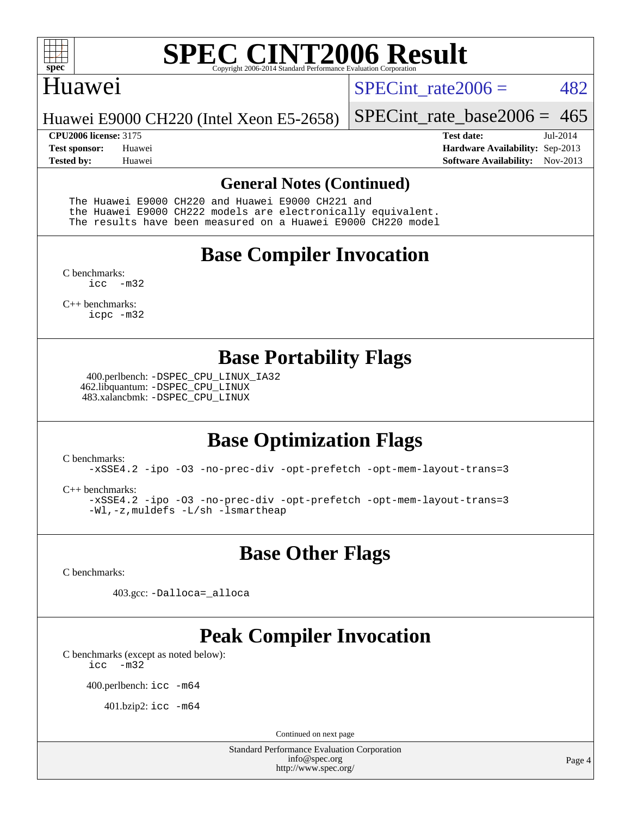

### Huawei

SPECint rate $2006 = 482$ 

Huawei E9000 CH220 (Intel Xeon E5-2658)

[SPECint\\_rate\\_base2006 =](http://www.spec.org/auto/cpu2006/Docs/result-fields.html#SPECintratebase2006)  $465$ 

**[CPU2006 license:](http://www.spec.org/auto/cpu2006/Docs/result-fields.html#CPU2006license)** 3175 **[Test date:](http://www.spec.org/auto/cpu2006/Docs/result-fields.html#Testdate)** Jul-2014 **[Test sponsor:](http://www.spec.org/auto/cpu2006/Docs/result-fields.html#Testsponsor)** Huawei **[Hardware Availability:](http://www.spec.org/auto/cpu2006/Docs/result-fields.html#HardwareAvailability)** Sep-2013 **[Tested by:](http://www.spec.org/auto/cpu2006/Docs/result-fields.html#Testedby)** Huawei **[Software Availability:](http://www.spec.org/auto/cpu2006/Docs/result-fields.html#SoftwareAvailability)** Nov-2013

#### **[General Notes \(Continued\)](http://www.spec.org/auto/cpu2006/Docs/result-fields.html#GeneralNotes)**

 The Huawei E9000 CH220 and Huawei E9000 CH221 and the Huawei E9000 CH222 models are electronically equivalent. The results have been measured on a Huawei E9000 CH220 model

## **[Base Compiler Invocation](http://www.spec.org/auto/cpu2006/Docs/result-fields.html#BaseCompilerInvocation)**

[C benchmarks](http://www.spec.org/auto/cpu2006/Docs/result-fields.html#Cbenchmarks): [icc -m32](http://www.spec.org/cpu2006/results/res2014q3/cpu2006-20140721-30544.flags.html#user_CCbase_intel_icc_5ff4a39e364c98233615fdd38438c6f2)

[C++ benchmarks:](http://www.spec.org/auto/cpu2006/Docs/result-fields.html#CXXbenchmarks) [icpc -m32](http://www.spec.org/cpu2006/results/res2014q3/cpu2006-20140721-30544.flags.html#user_CXXbase_intel_icpc_4e5a5ef1a53fd332b3c49e69c3330699)

## **[Base Portability Flags](http://www.spec.org/auto/cpu2006/Docs/result-fields.html#BasePortabilityFlags)**

 400.perlbench: [-DSPEC\\_CPU\\_LINUX\\_IA32](http://www.spec.org/cpu2006/results/res2014q3/cpu2006-20140721-30544.flags.html#b400.perlbench_baseCPORTABILITY_DSPEC_CPU_LINUX_IA32) 462.libquantum: [-DSPEC\\_CPU\\_LINUX](http://www.spec.org/cpu2006/results/res2014q3/cpu2006-20140721-30544.flags.html#b462.libquantum_baseCPORTABILITY_DSPEC_CPU_LINUX) 483.xalancbmk: [-DSPEC\\_CPU\\_LINUX](http://www.spec.org/cpu2006/results/res2014q3/cpu2006-20140721-30544.flags.html#b483.xalancbmk_baseCXXPORTABILITY_DSPEC_CPU_LINUX)

# **[Base Optimization Flags](http://www.spec.org/auto/cpu2006/Docs/result-fields.html#BaseOptimizationFlags)**

[C benchmarks](http://www.spec.org/auto/cpu2006/Docs/result-fields.html#Cbenchmarks):

[-xSSE4.2](http://www.spec.org/cpu2006/results/res2014q3/cpu2006-20140721-30544.flags.html#user_CCbase_f-xSSE42_f91528193cf0b216347adb8b939d4107) [-ipo](http://www.spec.org/cpu2006/results/res2014q3/cpu2006-20140721-30544.flags.html#user_CCbase_f-ipo) [-O3](http://www.spec.org/cpu2006/results/res2014q3/cpu2006-20140721-30544.flags.html#user_CCbase_f-O3) [-no-prec-div](http://www.spec.org/cpu2006/results/res2014q3/cpu2006-20140721-30544.flags.html#user_CCbase_f-no-prec-div) [-opt-prefetch](http://www.spec.org/cpu2006/results/res2014q3/cpu2006-20140721-30544.flags.html#user_CCbase_f-opt-prefetch) [-opt-mem-layout-trans=3](http://www.spec.org/cpu2006/results/res2014q3/cpu2006-20140721-30544.flags.html#user_CCbase_f-opt-mem-layout-trans_a7b82ad4bd7abf52556d4961a2ae94d5)

[C++ benchmarks:](http://www.spec.org/auto/cpu2006/Docs/result-fields.html#CXXbenchmarks)

[-xSSE4.2](http://www.spec.org/cpu2006/results/res2014q3/cpu2006-20140721-30544.flags.html#user_CXXbase_f-xSSE42_f91528193cf0b216347adb8b939d4107) [-ipo](http://www.spec.org/cpu2006/results/res2014q3/cpu2006-20140721-30544.flags.html#user_CXXbase_f-ipo) [-O3](http://www.spec.org/cpu2006/results/res2014q3/cpu2006-20140721-30544.flags.html#user_CXXbase_f-O3) [-no-prec-div](http://www.spec.org/cpu2006/results/res2014q3/cpu2006-20140721-30544.flags.html#user_CXXbase_f-no-prec-div) [-opt-prefetch](http://www.spec.org/cpu2006/results/res2014q3/cpu2006-20140721-30544.flags.html#user_CXXbase_f-opt-prefetch) [-opt-mem-layout-trans=3](http://www.spec.org/cpu2006/results/res2014q3/cpu2006-20140721-30544.flags.html#user_CXXbase_f-opt-mem-layout-trans_a7b82ad4bd7abf52556d4961a2ae94d5) [-Wl,-z,muldefs](http://www.spec.org/cpu2006/results/res2014q3/cpu2006-20140721-30544.flags.html#user_CXXbase_link_force_multiple1_74079c344b956b9658436fd1b6dd3a8a) [-L/sh -lsmartheap](http://www.spec.org/cpu2006/results/res2014q3/cpu2006-20140721-30544.flags.html#user_CXXbase_SmartHeap_32f6c82aa1ed9c52345d30cf6e4a0499)

**[Base Other Flags](http://www.spec.org/auto/cpu2006/Docs/result-fields.html#BaseOtherFlags)**

[C benchmarks](http://www.spec.org/auto/cpu2006/Docs/result-fields.html#Cbenchmarks):

403.gcc: [-Dalloca=\\_alloca](http://www.spec.org/cpu2006/results/res2014q3/cpu2006-20140721-30544.flags.html#b403.gcc_baseEXTRA_CFLAGS_Dalloca_be3056838c12de2578596ca5467af7f3)

# **[Peak Compiler Invocation](http://www.spec.org/auto/cpu2006/Docs/result-fields.html#PeakCompilerInvocation)**

[C benchmarks \(except as noted below\)](http://www.spec.org/auto/cpu2006/Docs/result-fields.html#Cbenchmarksexceptasnotedbelow): [icc -m32](http://www.spec.org/cpu2006/results/res2014q3/cpu2006-20140721-30544.flags.html#user_CCpeak_intel_icc_5ff4a39e364c98233615fdd38438c6f2)

400.perlbench: [icc -m64](http://www.spec.org/cpu2006/results/res2014q3/cpu2006-20140721-30544.flags.html#user_peakCCLD400_perlbench_intel_icc_64bit_bda6cc9af1fdbb0edc3795bac97ada53)

401.bzip2: [icc -m64](http://www.spec.org/cpu2006/results/res2014q3/cpu2006-20140721-30544.flags.html#user_peakCCLD401_bzip2_intel_icc_64bit_bda6cc9af1fdbb0edc3795bac97ada53)

Continued on next page

Standard Performance Evaluation Corporation [info@spec.org](mailto:info@spec.org) <http://www.spec.org/>

Page 4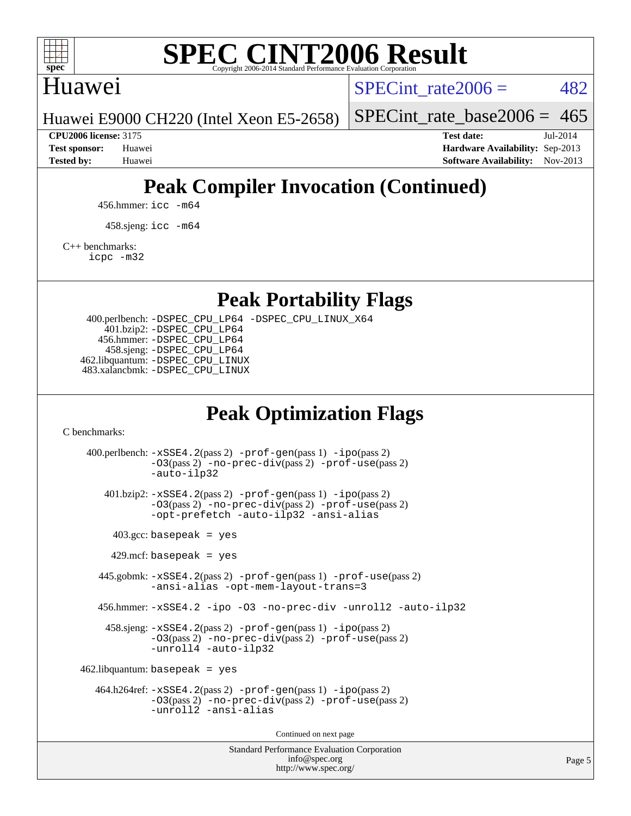

## Huawei

SPECint rate $2006 = 482$ 

Huawei E9000 CH220 (Intel Xeon E5-2658)

[SPECint\\_rate\\_base2006 =](http://www.spec.org/auto/cpu2006/Docs/result-fields.html#SPECintratebase2006)  $465$ 

**[CPU2006 license:](http://www.spec.org/auto/cpu2006/Docs/result-fields.html#CPU2006license)** 3175 **[Test date:](http://www.spec.org/auto/cpu2006/Docs/result-fields.html#Testdate)** Jul-2014 **[Test sponsor:](http://www.spec.org/auto/cpu2006/Docs/result-fields.html#Testsponsor)** Huawei **[Hardware Availability:](http://www.spec.org/auto/cpu2006/Docs/result-fields.html#HardwareAvailability)** Sep-2013 **[Tested by:](http://www.spec.org/auto/cpu2006/Docs/result-fields.html#Testedby)** Huawei **[Software Availability:](http://www.spec.org/auto/cpu2006/Docs/result-fields.html#SoftwareAvailability)** Nov-2013

# **[Peak Compiler Invocation \(Continued\)](http://www.spec.org/auto/cpu2006/Docs/result-fields.html#PeakCompilerInvocation)**

456.hmmer: [icc -m64](http://www.spec.org/cpu2006/results/res2014q3/cpu2006-20140721-30544.flags.html#user_peakCCLD456_hmmer_intel_icc_64bit_bda6cc9af1fdbb0edc3795bac97ada53)

458.sjeng: [icc -m64](http://www.spec.org/cpu2006/results/res2014q3/cpu2006-20140721-30544.flags.html#user_peakCCLD458_sjeng_intel_icc_64bit_bda6cc9af1fdbb0edc3795bac97ada53)

[C++ benchmarks:](http://www.spec.org/auto/cpu2006/Docs/result-fields.html#CXXbenchmarks)

[icpc -m32](http://www.spec.org/cpu2006/results/res2014q3/cpu2006-20140721-30544.flags.html#user_CXXpeak_intel_icpc_4e5a5ef1a53fd332b3c49e69c3330699)

**[Peak Portability Flags](http://www.spec.org/auto/cpu2006/Docs/result-fields.html#PeakPortabilityFlags)**

 400.perlbench: [-DSPEC\\_CPU\\_LP64](http://www.spec.org/cpu2006/results/res2014q3/cpu2006-20140721-30544.flags.html#b400.perlbench_peakCPORTABILITY_DSPEC_CPU_LP64) [-DSPEC\\_CPU\\_LINUX\\_X64](http://www.spec.org/cpu2006/results/res2014q3/cpu2006-20140721-30544.flags.html#b400.perlbench_peakCPORTABILITY_DSPEC_CPU_LINUX_X64) 401.bzip2: [-DSPEC\\_CPU\\_LP64](http://www.spec.org/cpu2006/results/res2014q3/cpu2006-20140721-30544.flags.html#suite_peakCPORTABILITY401_bzip2_DSPEC_CPU_LP64) 456.hmmer: [-DSPEC\\_CPU\\_LP64](http://www.spec.org/cpu2006/results/res2014q3/cpu2006-20140721-30544.flags.html#suite_peakCPORTABILITY456_hmmer_DSPEC_CPU_LP64) 458.sjeng: [-DSPEC\\_CPU\\_LP64](http://www.spec.org/cpu2006/results/res2014q3/cpu2006-20140721-30544.flags.html#suite_peakCPORTABILITY458_sjeng_DSPEC_CPU_LP64) 462.libquantum: [-DSPEC\\_CPU\\_LINUX](http://www.spec.org/cpu2006/results/res2014q3/cpu2006-20140721-30544.flags.html#b462.libquantum_peakCPORTABILITY_DSPEC_CPU_LINUX) 483.xalancbmk: [-DSPEC\\_CPU\\_LINUX](http://www.spec.org/cpu2006/results/res2014q3/cpu2006-20140721-30544.flags.html#b483.xalancbmk_peakCXXPORTABILITY_DSPEC_CPU_LINUX)

## **[Peak Optimization Flags](http://www.spec.org/auto/cpu2006/Docs/result-fields.html#PeakOptimizationFlags)**

[C benchmarks](http://www.spec.org/auto/cpu2006/Docs/result-fields.html#Cbenchmarks):

Standard Performance Evaluation Corporation 400.perlbench: [-xSSE4.2](http://www.spec.org/cpu2006/results/res2014q3/cpu2006-20140721-30544.flags.html#user_peakPASS2_CFLAGSPASS2_LDCFLAGS400_perlbench_f-xSSE42_f91528193cf0b216347adb8b939d4107)(pass 2) [-prof-gen](http://www.spec.org/cpu2006/results/res2014q3/cpu2006-20140721-30544.flags.html#user_peakPASS1_CFLAGSPASS1_LDCFLAGS400_perlbench_prof_gen_e43856698f6ca7b7e442dfd80e94a8fc)(pass 1) [-ipo](http://www.spec.org/cpu2006/results/res2014q3/cpu2006-20140721-30544.flags.html#user_peakPASS2_CFLAGSPASS2_LDCFLAGS400_perlbench_f-ipo)(pass 2) [-O3](http://www.spec.org/cpu2006/results/res2014q3/cpu2006-20140721-30544.flags.html#user_peakPASS2_CFLAGSPASS2_LDCFLAGS400_perlbench_f-O3)(pass 2) [-no-prec-div](http://www.spec.org/cpu2006/results/res2014q3/cpu2006-20140721-30544.flags.html#user_peakPASS2_CFLAGSPASS2_LDCFLAGS400_perlbench_f-no-prec-div)(pass 2) [-prof-use](http://www.spec.org/cpu2006/results/res2014q3/cpu2006-20140721-30544.flags.html#user_peakPASS2_CFLAGSPASS2_LDCFLAGS400_perlbench_prof_use_bccf7792157ff70d64e32fe3e1250b55)(pass 2) [-auto-ilp32](http://www.spec.org/cpu2006/results/res2014q3/cpu2006-20140721-30544.flags.html#user_peakCOPTIMIZE400_perlbench_f-auto-ilp32) 401.bzip2: [-xSSE4.2](http://www.spec.org/cpu2006/results/res2014q3/cpu2006-20140721-30544.flags.html#user_peakPASS2_CFLAGSPASS2_LDCFLAGS401_bzip2_f-xSSE42_f91528193cf0b216347adb8b939d4107)(pass 2) [-prof-gen](http://www.spec.org/cpu2006/results/res2014q3/cpu2006-20140721-30544.flags.html#user_peakPASS1_CFLAGSPASS1_LDCFLAGS401_bzip2_prof_gen_e43856698f6ca7b7e442dfd80e94a8fc)(pass 1) [-ipo](http://www.spec.org/cpu2006/results/res2014q3/cpu2006-20140721-30544.flags.html#user_peakPASS2_CFLAGSPASS2_LDCFLAGS401_bzip2_f-ipo)(pass 2) [-O3](http://www.spec.org/cpu2006/results/res2014q3/cpu2006-20140721-30544.flags.html#user_peakPASS2_CFLAGSPASS2_LDCFLAGS401_bzip2_f-O3)(pass 2) [-no-prec-div](http://www.spec.org/cpu2006/results/res2014q3/cpu2006-20140721-30544.flags.html#user_peakPASS2_CFLAGSPASS2_LDCFLAGS401_bzip2_f-no-prec-div)(pass 2) [-prof-use](http://www.spec.org/cpu2006/results/res2014q3/cpu2006-20140721-30544.flags.html#user_peakPASS2_CFLAGSPASS2_LDCFLAGS401_bzip2_prof_use_bccf7792157ff70d64e32fe3e1250b55)(pass 2) [-opt-prefetch](http://www.spec.org/cpu2006/results/res2014q3/cpu2006-20140721-30544.flags.html#user_peakCOPTIMIZE401_bzip2_f-opt-prefetch) [-auto-ilp32](http://www.spec.org/cpu2006/results/res2014q3/cpu2006-20140721-30544.flags.html#user_peakCOPTIMIZE401_bzip2_f-auto-ilp32) [-ansi-alias](http://www.spec.org/cpu2006/results/res2014q3/cpu2006-20140721-30544.flags.html#user_peakCOPTIMIZE401_bzip2_f-ansi-alias)  $403.\text{gcc: basepeak}$  = yes  $429$ .mcf: basepeak = yes 445.gobmk: [-xSSE4.2](http://www.spec.org/cpu2006/results/res2014q3/cpu2006-20140721-30544.flags.html#user_peakPASS2_CFLAGSPASS2_LDCFLAGS445_gobmk_f-xSSE42_f91528193cf0b216347adb8b939d4107)(pass 2) [-prof-gen](http://www.spec.org/cpu2006/results/res2014q3/cpu2006-20140721-30544.flags.html#user_peakPASS1_CFLAGSPASS1_LDCFLAGS445_gobmk_prof_gen_e43856698f6ca7b7e442dfd80e94a8fc)(pass 1) [-prof-use](http://www.spec.org/cpu2006/results/res2014q3/cpu2006-20140721-30544.flags.html#user_peakPASS2_CFLAGSPASS2_LDCFLAGS445_gobmk_prof_use_bccf7792157ff70d64e32fe3e1250b55)(pass 2) [-ansi-alias](http://www.spec.org/cpu2006/results/res2014q3/cpu2006-20140721-30544.flags.html#user_peakCOPTIMIZE445_gobmk_f-ansi-alias) [-opt-mem-layout-trans=3](http://www.spec.org/cpu2006/results/res2014q3/cpu2006-20140721-30544.flags.html#user_peakCOPTIMIZE445_gobmk_f-opt-mem-layout-trans_a7b82ad4bd7abf52556d4961a2ae94d5) 456.hmmer: [-xSSE4.2](http://www.spec.org/cpu2006/results/res2014q3/cpu2006-20140721-30544.flags.html#user_peakCOPTIMIZE456_hmmer_f-xSSE42_f91528193cf0b216347adb8b939d4107) [-ipo](http://www.spec.org/cpu2006/results/res2014q3/cpu2006-20140721-30544.flags.html#user_peakCOPTIMIZE456_hmmer_f-ipo) [-O3](http://www.spec.org/cpu2006/results/res2014q3/cpu2006-20140721-30544.flags.html#user_peakCOPTIMIZE456_hmmer_f-O3) [-no-prec-div](http://www.spec.org/cpu2006/results/res2014q3/cpu2006-20140721-30544.flags.html#user_peakCOPTIMIZE456_hmmer_f-no-prec-div) [-unroll2](http://www.spec.org/cpu2006/results/res2014q3/cpu2006-20140721-30544.flags.html#user_peakCOPTIMIZE456_hmmer_f-unroll_784dae83bebfb236979b41d2422d7ec2) [-auto-ilp32](http://www.spec.org/cpu2006/results/res2014q3/cpu2006-20140721-30544.flags.html#user_peakCOPTIMIZE456_hmmer_f-auto-ilp32) 458.sjeng: [-xSSE4.2](http://www.spec.org/cpu2006/results/res2014q3/cpu2006-20140721-30544.flags.html#user_peakPASS2_CFLAGSPASS2_LDCFLAGS458_sjeng_f-xSSE42_f91528193cf0b216347adb8b939d4107)(pass 2) [-prof-gen](http://www.spec.org/cpu2006/results/res2014q3/cpu2006-20140721-30544.flags.html#user_peakPASS1_CFLAGSPASS1_LDCFLAGS458_sjeng_prof_gen_e43856698f6ca7b7e442dfd80e94a8fc)(pass 1) [-ipo](http://www.spec.org/cpu2006/results/res2014q3/cpu2006-20140721-30544.flags.html#user_peakPASS2_CFLAGSPASS2_LDCFLAGS458_sjeng_f-ipo)(pass 2) [-O3](http://www.spec.org/cpu2006/results/res2014q3/cpu2006-20140721-30544.flags.html#user_peakPASS2_CFLAGSPASS2_LDCFLAGS458_sjeng_f-O3)(pass 2) [-no-prec-div](http://www.spec.org/cpu2006/results/res2014q3/cpu2006-20140721-30544.flags.html#user_peakPASS2_CFLAGSPASS2_LDCFLAGS458_sjeng_f-no-prec-div)(pass 2) [-prof-use](http://www.spec.org/cpu2006/results/res2014q3/cpu2006-20140721-30544.flags.html#user_peakPASS2_CFLAGSPASS2_LDCFLAGS458_sjeng_prof_use_bccf7792157ff70d64e32fe3e1250b55)(pass 2) [-unroll4](http://www.spec.org/cpu2006/results/res2014q3/cpu2006-20140721-30544.flags.html#user_peakCOPTIMIZE458_sjeng_f-unroll_4e5e4ed65b7fd20bdcd365bec371b81f) [-auto-ilp32](http://www.spec.org/cpu2006/results/res2014q3/cpu2006-20140721-30544.flags.html#user_peakCOPTIMIZE458_sjeng_f-auto-ilp32)  $462$ .libquantum: basepeak = yes 464.h264ref: [-xSSE4.2](http://www.spec.org/cpu2006/results/res2014q3/cpu2006-20140721-30544.flags.html#user_peakPASS2_CFLAGSPASS2_LDCFLAGS464_h264ref_f-xSSE42_f91528193cf0b216347adb8b939d4107)(pass 2) [-prof-gen](http://www.spec.org/cpu2006/results/res2014q3/cpu2006-20140721-30544.flags.html#user_peakPASS1_CFLAGSPASS1_LDCFLAGS464_h264ref_prof_gen_e43856698f6ca7b7e442dfd80e94a8fc)(pass 1) [-ipo](http://www.spec.org/cpu2006/results/res2014q3/cpu2006-20140721-30544.flags.html#user_peakPASS2_CFLAGSPASS2_LDCFLAGS464_h264ref_f-ipo)(pass 2) [-O3](http://www.spec.org/cpu2006/results/res2014q3/cpu2006-20140721-30544.flags.html#user_peakPASS2_CFLAGSPASS2_LDCFLAGS464_h264ref_f-O3)(pass 2) [-no-prec-div](http://www.spec.org/cpu2006/results/res2014q3/cpu2006-20140721-30544.flags.html#user_peakPASS2_CFLAGSPASS2_LDCFLAGS464_h264ref_f-no-prec-div)(pass 2) [-prof-use](http://www.spec.org/cpu2006/results/res2014q3/cpu2006-20140721-30544.flags.html#user_peakPASS2_CFLAGSPASS2_LDCFLAGS464_h264ref_prof_use_bccf7792157ff70d64e32fe3e1250b55)(pass 2) [-unroll2](http://www.spec.org/cpu2006/results/res2014q3/cpu2006-20140721-30544.flags.html#user_peakCOPTIMIZE464_h264ref_f-unroll_784dae83bebfb236979b41d2422d7ec2) [-ansi-alias](http://www.spec.org/cpu2006/results/res2014q3/cpu2006-20140721-30544.flags.html#user_peakCOPTIMIZE464_h264ref_f-ansi-alias) Continued on next page

[info@spec.org](mailto:info@spec.org) <http://www.spec.org/>